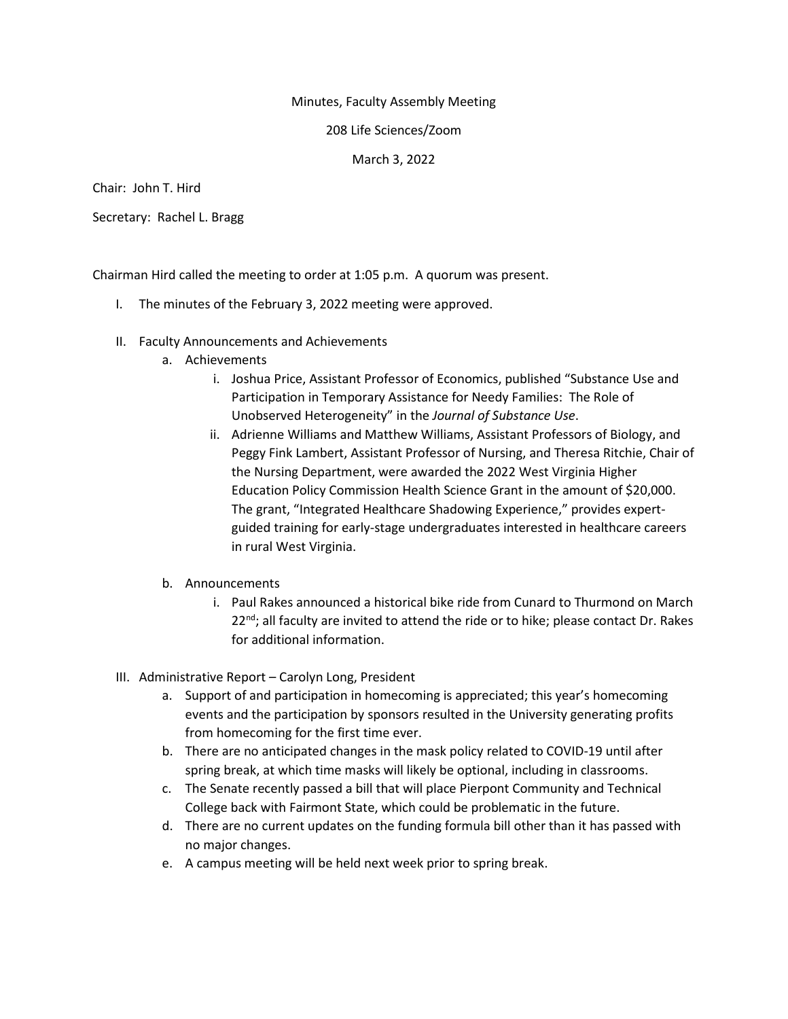## Minutes, Faculty Assembly Meeting

208 Life Sciences/Zoom

March 3, 2022

Chair: John T. Hird

Secretary: Rachel L. Bragg

Chairman Hird called the meeting to order at 1:05 p.m. A quorum was present.

- I. The minutes of the February 3, 2022 meeting were approved.
- II. Faculty Announcements and Achievements
	- a. Achievements
		- i. Joshua Price, Assistant Professor of Economics, published "Substance Use and Participation in Temporary Assistance for Needy Families: The Role of Unobserved Heterogeneity" in the *Journal of Substance Use*.
		- ii. Adrienne Williams and Matthew Williams, Assistant Professors of Biology, and Peggy Fink Lambert, Assistant Professor of Nursing, and Theresa Ritchie, Chair of the Nursing Department, were awarded the 2022 West Virginia Higher Education Policy Commission Health Science Grant in the amount of \$20,000. The grant, "Integrated Healthcare Shadowing Experience," provides expertguided training for early-stage undergraduates interested in healthcare careers in rural West Virginia.

## b. Announcements

- i. Paul Rakes announced a historical bike ride from Cunard to Thurmond on March 22<sup>nd</sup>; all faculty are invited to attend the ride or to hike; please contact Dr. Rakes for additional information.
- III. Administrative Report Carolyn Long, President
	- a. Support of and participation in homecoming is appreciated; this year's homecoming events and the participation by sponsors resulted in the University generating profits from homecoming for the first time ever.
	- b. There are no anticipated changes in the mask policy related to COVID-19 until after spring break, at which time masks will likely be optional, including in classrooms.
	- c. The Senate recently passed a bill that will place Pierpont Community and Technical College back with Fairmont State, which could be problematic in the future.
	- d. There are no current updates on the funding formula bill other than it has passed with no major changes.
	- e. A campus meeting will be held next week prior to spring break.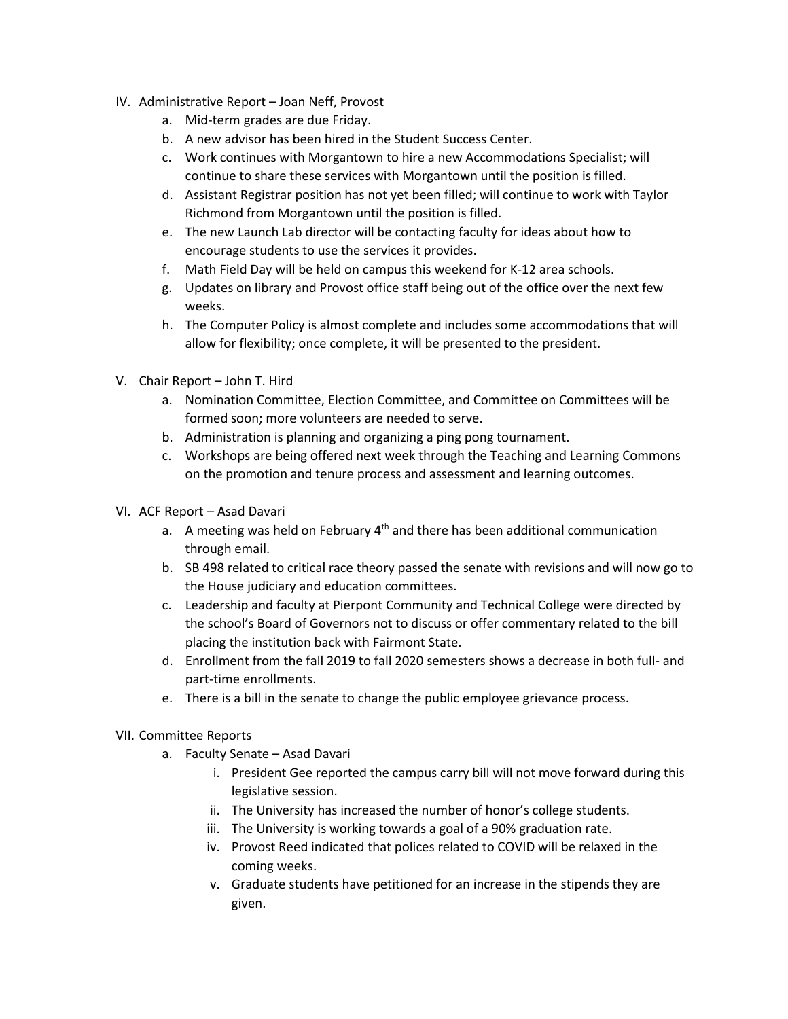- IV. Administrative Report Joan Neff, Provost
	- a. Mid-term grades are due Friday.
	- b. A new advisor has been hired in the Student Success Center.
	- c. Work continues with Morgantown to hire a new Accommodations Specialist; will continue to share these services with Morgantown until the position is filled.
	- d. Assistant Registrar position has not yet been filled; will continue to work with Taylor Richmond from Morgantown until the position is filled.
	- e. The new Launch Lab director will be contacting faculty for ideas about how to encourage students to use the services it provides.
	- f. Math Field Day will be held on campus this weekend for K-12 area schools.
	- g. Updates on library and Provost office staff being out of the office over the next few weeks.
	- h. The Computer Policy is almost complete and includes some accommodations that will allow for flexibility; once complete, it will be presented to the president.
- V. Chair Report John T. Hird
	- a. Nomination Committee, Election Committee, and Committee on Committees will be formed soon; more volunteers are needed to serve.
	- b. Administration is planning and organizing a ping pong tournament.
	- c. Workshops are being offered next week through the Teaching and Learning Commons on the promotion and tenure process and assessment and learning outcomes.
- VI. ACF Report Asad Davari
	- a. A meeting was held on February  $4<sup>th</sup>$  and there has been additional communication through email.
	- b. SB 498 related to critical race theory passed the senate with revisions and will now go to the House judiciary and education committees.
	- c. Leadership and faculty at Pierpont Community and Technical College were directed by the school's Board of Governors not to discuss or offer commentary related to the bill placing the institution back with Fairmont State.
	- d. Enrollment from the fall 2019 to fall 2020 semesters shows a decrease in both full- and part-time enrollments.
	- e. There is a bill in the senate to change the public employee grievance process.
- VII. Committee Reports
	- a. Faculty Senate Asad Davari
		- i. President Gee reported the campus carry bill will not move forward during this legislative session.
		- ii. The University has increased the number of honor's college students.
		- iii. The University is working towards a goal of a 90% graduation rate.
		- iv. Provost Reed indicated that polices related to COVID will be relaxed in the coming weeks.
		- v. Graduate students have petitioned for an increase in the stipends they are given.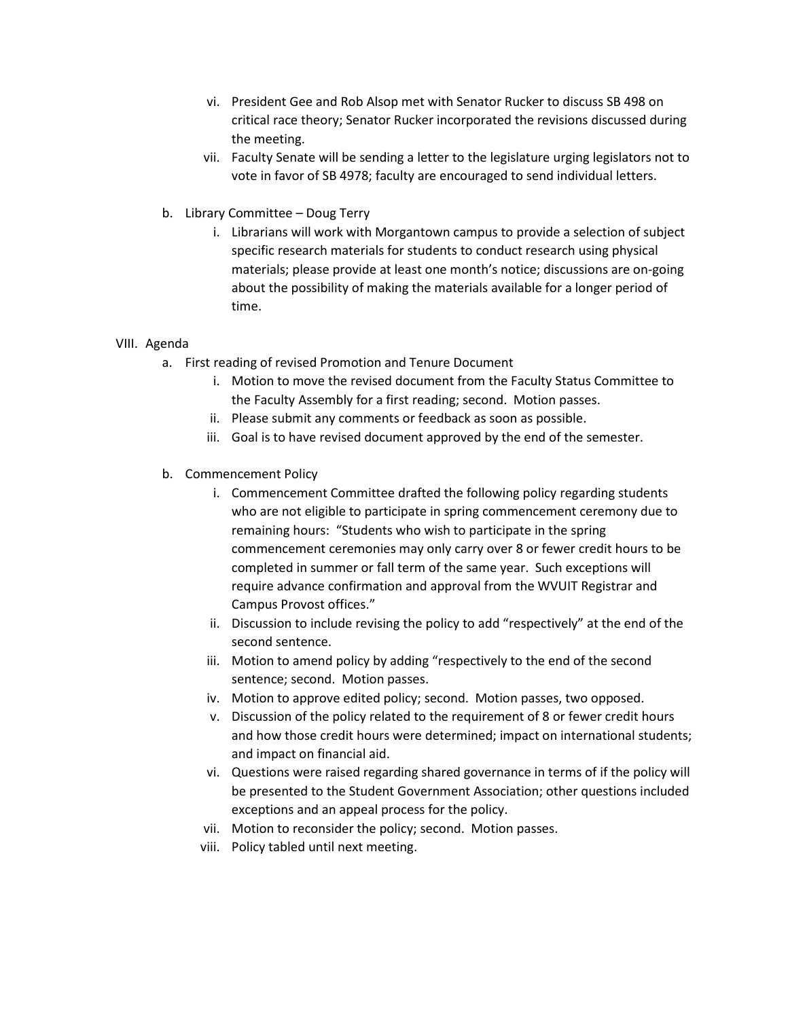- vi. President Gee and Rob Alsop met with Senator Rucker to discuss SB 498 on critical race theory; Senator Rucker incorporated the revisions discussed during the meeting.
- vii. Faculty Senate will be sending a letter to the legislature urging legislators not to vote in favor of SB 4978; faculty are encouraged to send individual letters.
- b. Library Committee Doug Terry
	- i. Librarians will work with Morgantown campus to provide a selection of subject specific research materials for students to conduct research using physical materials; please provide at least one month's notice; discussions are on-going about the possibility of making the materials available for a longer period of time.

## VIII. Agenda

- a. First reading of revised Promotion and Tenure Document
	- i. Motion to move the revised document from the Faculty Status Committee to the Faculty Assembly for a first reading; second. Motion passes.
	- ii. Please submit any comments or feedback as soon as possible.
	- iii. Goal is to have revised document approved by the end of the semester.
- b. Commencement Policy
	- i. Commencement Committee drafted the following policy regarding students who are not eligible to participate in spring commencement ceremony due to remaining hours: "Students who wish to participate in the spring commencement ceremonies may only carry over 8 or fewer credit hours to be completed in summer or fall term of the same year. Such exceptions will require advance confirmation and approval from the WVUIT Registrar and Campus Provost offices."
	- ii. Discussion to include revising the policy to add "respectively" at the end of the second sentence.
	- iii. Motion to amend policy by adding "respectively to the end of the second sentence; second. Motion passes.
	- iv. Motion to approve edited policy; second. Motion passes, two opposed.
	- v. Discussion of the policy related to the requirement of 8 or fewer credit hours and how those credit hours were determined; impact on international students; and impact on financial aid.
	- vi. Questions were raised regarding shared governance in terms of if the policy will be presented to the Student Government Association; other questions included exceptions and an appeal process for the policy.
	- vii. Motion to reconsider the policy; second. Motion passes.
	- viii. Policy tabled until next meeting.